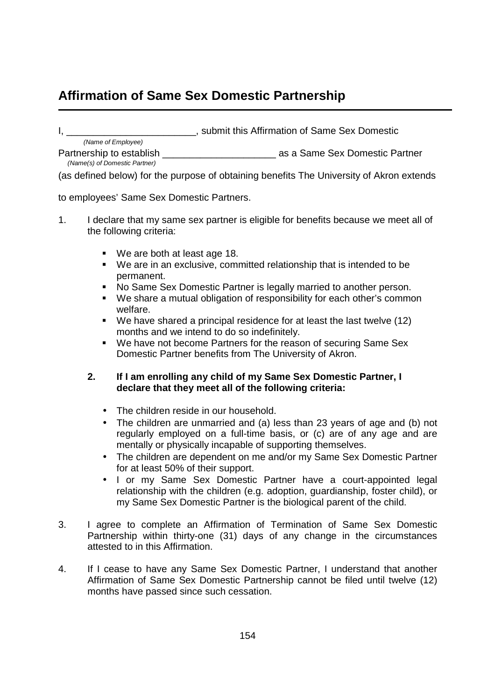## **Affirmation of Same Sex Domestic Partnership**

I, \_\_\_\_\_\_\_\_\_\_\_\_\_\_\_\_\_\_\_\_\_\_\_\_, submit this Affirmation of Same Sex Domestic

Partnership to establish **Example 2018** as a Same Sex Domestic Partner (Name of Employee) (Name(s) of Domestic Partner)

(as defined below) for the purpose of obtaining benefits The University of Akron extends

to employees' Same Sex Domestic Partners.

- 1. I declare that my same sex partner is eligible for benefits because we meet all of the following criteria:
	- We are both at least age 18.
	- We are in an exclusive, committed relationship that is intended to be permanent.
	- No Same Sex Domestic Partner is legally married to another person.
	- We share a mutual obligation of responsibility for each other's common welfare.
	- We have shared a principal residence for at least the last twelve (12) months and we intend to do so indefinitely.
	- We have not become Partners for the reason of securing Same Sex Domestic Partner benefits from The University of Akron.

## **2. If I am enrolling any child of my Same Sex Domestic Partner, I declare that they meet all of the following criteria:**

- The children reside in our household.
- The children are unmarried and (a) less than 23 years of age and (b) not regularly employed on a full-time basis, or (c) are of any age and are mentally or physically incapable of supporting themselves.
- The children are dependent on me and/or my Same Sex Domestic Partner for at least 50% of their support.
- I or my Same Sex Domestic Partner have a court-appointed legal relationship with the children (e.g. adoption, guardianship, foster child), or my Same Sex Domestic Partner is the biological parent of the child.
- 3. I agree to complete an Affirmation of Termination of Same Sex Domestic Partnership within thirty-one (31) days of any change in the circumstances attested to in this Affirmation.
- 4. If I cease to have any Same Sex Domestic Partner, I understand that another Affirmation of Same Sex Domestic Partnership cannot be filed until twelve (12) months have passed since such cessation.